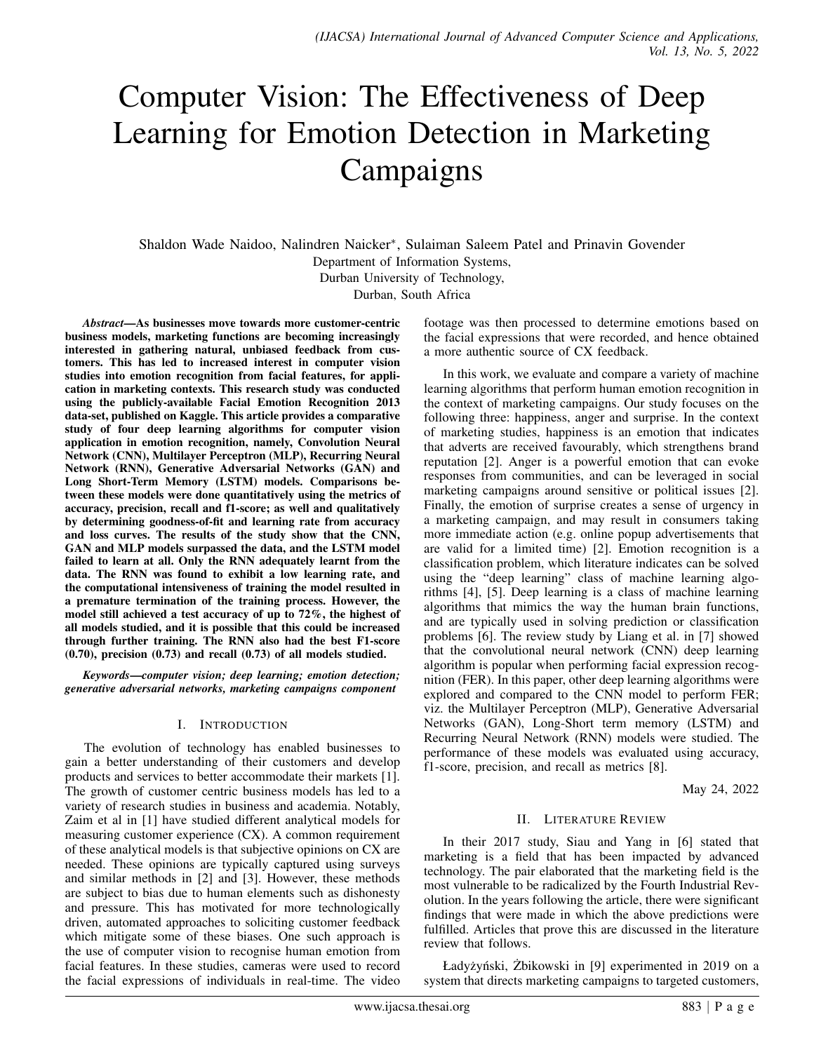# Computer Vision: The Effectiveness of Deep Learning for Emotion Detection in Marketing Campaigns

Shaldon Wade Naidoo, Nalindren Naicker<sup>∗</sup> , Sulaiman Saleem Patel and Prinavin Govender Department of Information Systems, Durban University of Technology, Durban, South Africa

*Abstract*—As businesses move towards more customer-centric business models, marketing functions are becoming increasingly interested in gathering natural, unbiased feedback from customers. This has led to increased interest in computer vision studies into emotion recognition from facial features, for application in marketing contexts. This research study was conducted using the publicly-available Facial Emotion Recognition 2013 data-set, published on Kaggle. This article provides a comparative study of four deep learning algorithms for computer vision application in emotion recognition, namely, Convolution Neural Network (CNN), Multilayer Perceptron (MLP), Recurring Neural Network (RNN), Generative Adversarial Networks (GAN) and Long Short-Term Memory (LSTM) models. Comparisons between these models were done quantitatively using the metrics of accuracy, precision, recall and f1-score; as well and qualitatively by determining goodness-of-fit and learning rate from accuracy and loss curves. The results of the study show that the CNN, GAN and MLP models surpassed the data, and the LSTM model failed to learn at all. Only the RNN adequately learnt from the data. The RNN was found to exhibit a low learning rate, and the computational intensiveness of training the model resulted in a premature termination of the training process. However, the model still achieved a test accuracy of up to 72%, the highest of all models studied, and it is possible that this could be increased through further training. The RNN also had the best F1-score (0.70), precision (0.73) and recall (0.73) of all models studied.

*Keywords*—*computer vision; deep learning; emotion detection; generative adversarial networks, marketing campaigns component*

## I. INTRODUCTION

The evolution of technology has enabled businesses to gain a better understanding of their customers and develop products and services to better accommodate their markets [1]. The growth of customer centric business models has led to a variety of research studies in business and academia. Notably, Zaim et al in [1] have studied different analytical models for measuring customer experience (CX). A common requirement of these analytical models is that subjective opinions on CX are needed. These opinions are typically captured using surveys and similar methods in [2] and [3]. However, these methods are subject to bias due to human elements such as dishonesty and pressure. This has motivated for more technologically driven, automated approaches to soliciting customer feedback which mitigate some of these biases. One such approach is the use of computer vision to recognise human emotion from facial features. In these studies, cameras were used to record the facial expressions of individuals in real-time. The video

footage was then processed to determine emotions based on the facial expressions that were recorded, and hence obtained a more authentic source of CX feedback.

In this work, we evaluate and compare a variety of machine learning algorithms that perform human emotion recognition in the context of marketing campaigns. Our study focuses on the following three: happiness, anger and surprise. In the context of marketing studies, happiness is an emotion that indicates that adverts are received favourably, which strengthens brand reputation [2]. Anger is a powerful emotion that can evoke responses from communities, and can be leveraged in social marketing campaigns around sensitive or political issues [2]. Finally, the emotion of surprise creates a sense of urgency in a marketing campaign, and may result in consumers taking more immediate action (e.g. online popup advertisements that are valid for a limited time) [2]. Emotion recognition is a classification problem, which literature indicates can be solved using the "deep learning" class of machine learning algorithms [4], [5]. Deep learning is a class of machine learning algorithms that mimics the way the human brain functions, and are typically used in solving prediction or classification problems [6]. The review study by Liang et al. in [7] showed that the convolutional neural network (CNN) deep learning algorithm is popular when performing facial expression recognition (FER). In this paper, other deep learning algorithms were explored and compared to the CNN model to perform FER; viz. the Multilayer Perceptron (MLP), Generative Adversarial Networks (GAN), Long-Short term memory (LSTM) and Recurring Neural Network (RNN) models were studied. The performance of these models was evaluated using accuracy, f1-score, precision, and recall as metrics [8].

May 24, 2022

## II. LITERATURE REVIEW

In their 2017 study, Siau and Yang in [6] stated that marketing is a field that has been impacted by advanced technology. The pair elaborated that the marketing field is the most vulnerable to be radicalized by the Fourth Industrial Revolution. In the years following the article, there were significant findings that were made in which the above predictions were fulfilled. Articles that prove this are discussed in the literature review that follows.

Ładyżyński, Żbikowski in [9] experimented in 2019 on a system that directs marketing campaigns to targeted customers,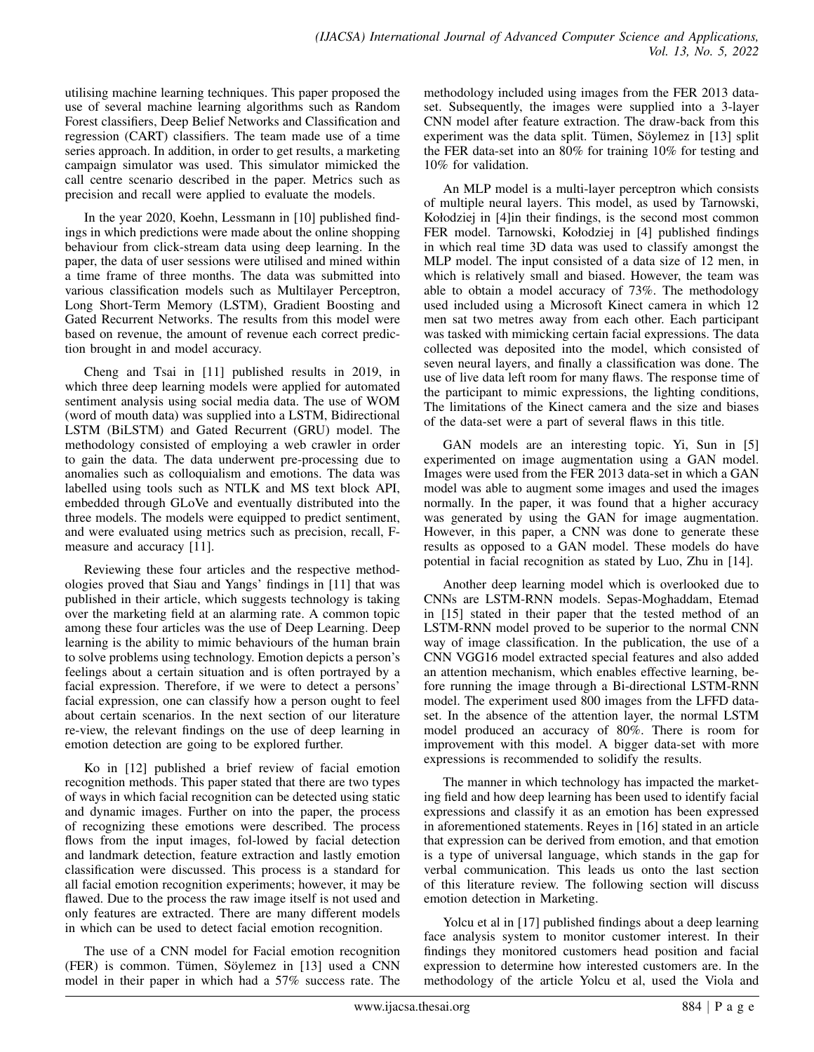utilising machine learning techniques. This paper proposed the use of several machine learning algorithms such as Random Forest classifiers, Deep Belief Networks and Classification and regression (CART) classifiers. The team made use of a time series approach. In addition, in order to get results, a marketing campaign simulator was used. This simulator mimicked the call centre scenario described in the paper. Metrics such as precision and recall were applied to evaluate the models.

In the year 2020, Koehn, Lessmann in [10] published findings in which predictions were made about the online shopping behaviour from click-stream data using deep learning. In the paper, the data of user sessions were utilised and mined within a time frame of three months. The data was submitted into various classification models such as Multilayer Perceptron, Long Short-Term Memory (LSTM), Gradient Boosting and Gated Recurrent Networks. The results from this model were based on revenue, the amount of revenue each correct prediction brought in and model accuracy.

Cheng and Tsai in [11] published results in 2019, in which three deep learning models were applied for automated sentiment analysis using social media data. The use of WOM (word of mouth data) was supplied into a LSTM, Bidirectional LSTM (BiLSTM) and Gated Recurrent (GRU) model. The methodology consisted of employing a web crawler in order to gain the data. The data underwent pre-processing due to anomalies such as colloquialism and emotions. The data was labelled using tools such as NTLK and MS text block API, embedded through GLoVe and eventually distributed into the three models. The models were equipped to predict sentiment, and were evaluated using metrics such as precision, recall, Fmeasure and accuracy [11].

Reviewing these four articles and the respective methodologies proved that Siau and Yangs' findings in [11] that was published in their article, which suggests technology is taking over the marketing field at an alarming rate. A common topic among these four articles was the use of Deep Learning. Deep learning is the ability to mimic behaviours of the human brain to solve problems using technology. Emotion depicts a person's feelings about a certain situation and is often portrayed by a facial expression. Therefore, if we were to detect a persons' facial expression, one can classify how a person ought to feel about certain scenarios. In the next section of our literature re-view, the relevant findings on the use of deep learning in emotion detection are going to be explored further.

Ko in [12] published a brief review of facial emotion recognition methods. This paper stated that there are two types of ways in which facial recognition can be detected using static and dynamic images. Further on into the paper, the process of recognizing these emotions were described. The process flows from the input images, fol-lowed by facial detection and landmark detection, feature extraction and lastly emotion classification were discussed. This process is a standard for all facial emotion recognition experiments; however, it may be flawed. Due to the process the raw image itself is not used and only features are extracted. There are many different models in which can be used to detect facial emotion recognition.

The use of a CNN model for Facial emotion recognition  $(FER)$  is common. Tümen, Söylemez in  $[13]$  used a CNN model in their paper in which had a 57% success rate. The

methodology included using images from the FER 2013 dataset. Subsequently, the images were supplied into a 3-layer CNN model after feature extraction. The draw-back from this experiment was the data split. Tümen, Söylemez in  $[13]$  split the FER data-set into an 80% for training 10% for testing and 10% for validation.

An MLP model is a multi-layer perceptron which consists of multiple neural layers. This model, as used by Tarnowski, Kołodziej in [4]in their findings, is the second most common FER model. Tarnowski, Kołodziej in [4] published findings in which real time 3D data was used to classify amongst the MLP model. The input consisted of a data size of 12 men, in which is relatively small and biased. However, the team was able to obtain a model accuracy of 73%. The methodology used included using a Microsoft Kinect camera in which 12 men sat two metres away from each other. Each participant was tasked with mimicking certain facial expressions. The data collected was deposited into the model, which consisted of seven neural layers, and finally a classification was done. The use of live data left room for many flaws. The response time of the participant to mimic expressions, the lighting conditions, The limitations of the Kinect camera and the size and biases of the data-set were a part of several flaws in this title.

GAN models are an interesting topic. Yi, Sun in [5] experimented on image augmentation using a GAN model. Images were used from the FER 2013 data-set in which a GAN model was able to augment some images and used the images normally. In the paper, it was found that a higher accuracy was generated by using the GAN for image augmentation. However, in this paper, a CNN was done to generate these results as opposed to a GAN model. These models do have potential in facial recognition as stated by Luo, Zhu in [14].

Another deep learning model which is overlooked due to CNNs are LSTM-RNN models. Sepas-Moghaddam, Etemad in [15] stated in their paper that the tested method of an LSTM-RNN model proved to be superior to the normal CNN way of image classification. In the publication, the use of a CNN VGG16 model extracted special features and also added an attention mechanism, which enables effective learning, before running the image through a Bi-directional LSTM-RNN model. The experiment used 800 images from the LFFD dataset. In the absence of the attention layer, the normal LSTM model produced an accuracy of 80%. There is room for improvement with this model. A bigger data-set with more expressions is recommended to solidify the results.

The manner in which technology has impacted the marketing field and how deep learning has been used to identify facial expressions and classify it as an emotion has been expressed in aforementioned statements. Reyes in [16] stated in an article that expression can be derived from emotion, and that emotion is a type of universal language, which stands in the gap for verbal communication. This leads us onto the last section of this literature review. The following section will discuss emotion detection in Marketing.

Yolcu et al in [17] published findings about a deep learning face analysis system to monitor customer interest. In their findings they monitored customers head position and facial expression to determine how interested customers are. In the methodology of the article Yolcu et al, used the Viola and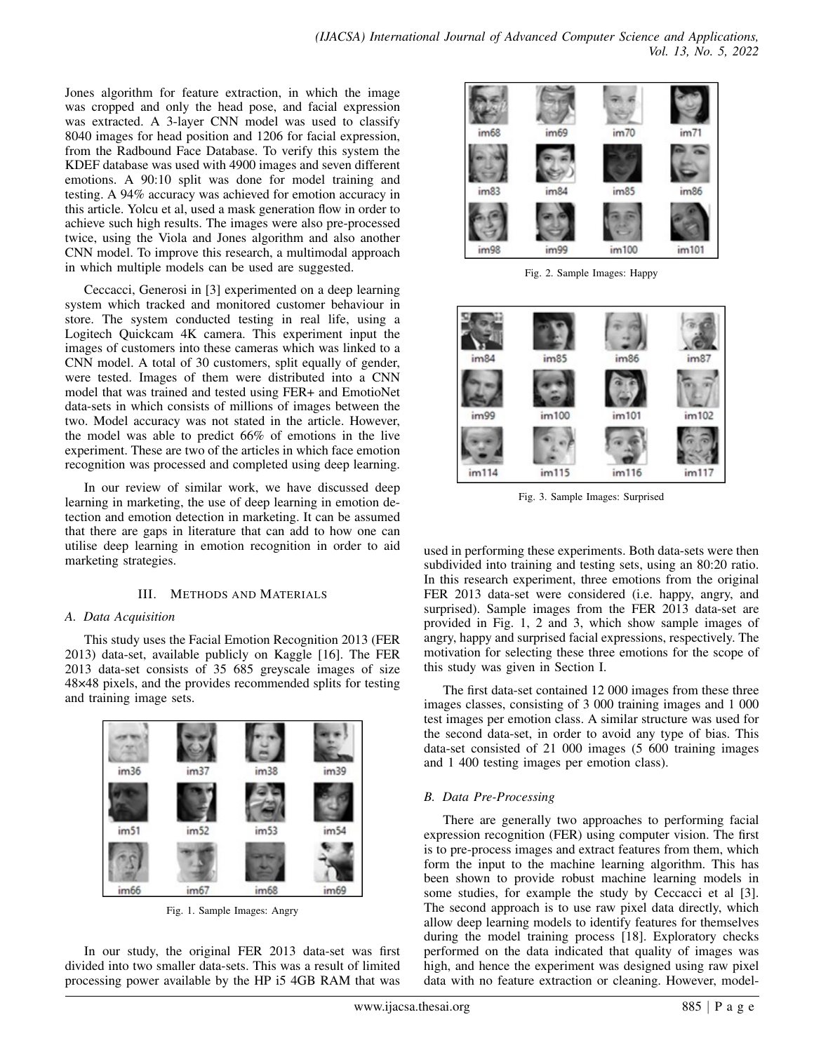Jones algorithm for feature extraction, in which the image was cropped and only the head pose, and facial expression was extracted. A 3-layer CNN model was used to classify 8040 images for head position and 1206 for facial expression, from the Radbound Face Database. To verify this system the KDEF database was used with 4900 images and seven different emotions. A 90:10 split was done for model training and testing. A 94% accuracy was achieved for emotion accuracy in this article. Yolcu et al, used a mask generation flow in order to achieve such high results. The images were also pre-processed twice, using the Viola and Jones algorithm and also another CNN model. To improve this research, a multimodal approach in which multiple models can be used are suggested.

Ceccacci, Generosi in [3] experimented on a deep learning system which tracked and monitored customer behaviour in store. The system conducted testing in real life, using a Logitech Quickcam 4K camera. This experiment input the images of customers into these cameras which was linked to a CNN model. A total of 30 customers, split equally of gender, were tested. Images of them were distributed into a CNN model that was trained and tested using FER+ and EmotioNet data-sets in which consists of millions of images between the two. Model accuracy was not stated in the article. However, the model was able to predict 66% of emotions in the live experiment. These are two of the articles in which face emotion recognition was processed and completed using deep learning.

In our review of similar work, we have discussed deep learning in marketing, the use of deep learning in emotion detection and emotion detection in marketing. It can be assumed that there are gaps in literature that can add to how one can utilise deep learning in emotion recognition in order to aid marketing strategies.

# III. METHODS AND MATERIALS

# *A. Data Acquisition*

This study uses the Facial Emotion Recognition 2013 (FER 2013) data-set, available publicly on Kaggle [16]. The FER 2013 data-set consists of 35 685 greyscale images of size 48×48 pixels, and the provides recommended splits for testing and training image sets.



Fig. 1. Sample Images: Angry

In our study, the original FER 2013 data-set was first divided into two smaller data-sets. This was a result of limited processing power available by the HP i5 4GB RAM that was



Fig. 2. Sample Images: Happy



Fig. 3. Sample Images: Surprised

used in performing these experiments. Both data-sets were then subdivided into training and testing sets, using an 80:20 ratio. In this research experiment, three emotions from the original FER 2013 data-set were considered (i.e. happy, angry, and surprised). Sample images from the FER 2013 data-set are provided in Fig. 1, 2 and 3, which show sample images of angry, happy and surprised facial expressions, respectively. The motivation for selecting these three emotions for the scope of this study was given in Section I.

The first data-set contained 12 000 images from these three images classes, consisting of 3 000 training images and 1 000 test images per emotion class. A similar structure was used for the second data-set, in order to avoid any type of bias. This data-set consisted of 21 000 images (5 600 training images and 1 400 testing images per emotion class).

# *B. Data Pre-Processing*

There are generally two approaches to performing facial expression recognition (FER) using computer vision. The first is to pre-process images and extract features from them, which form the input to the machine learning algorithm. This has been shown to provide robust machine learning models in some studies, for example the study by Ceccacci et al [3]. The second approach is to use raw pixel data directly, which allow deep learning models to identify features for themselves during the model training process [18]. Exploratory checks performed on the data indicated that quality of images was high, and hence the experiment was designed using raw pixel data with no feature extraction or cleaning. However, model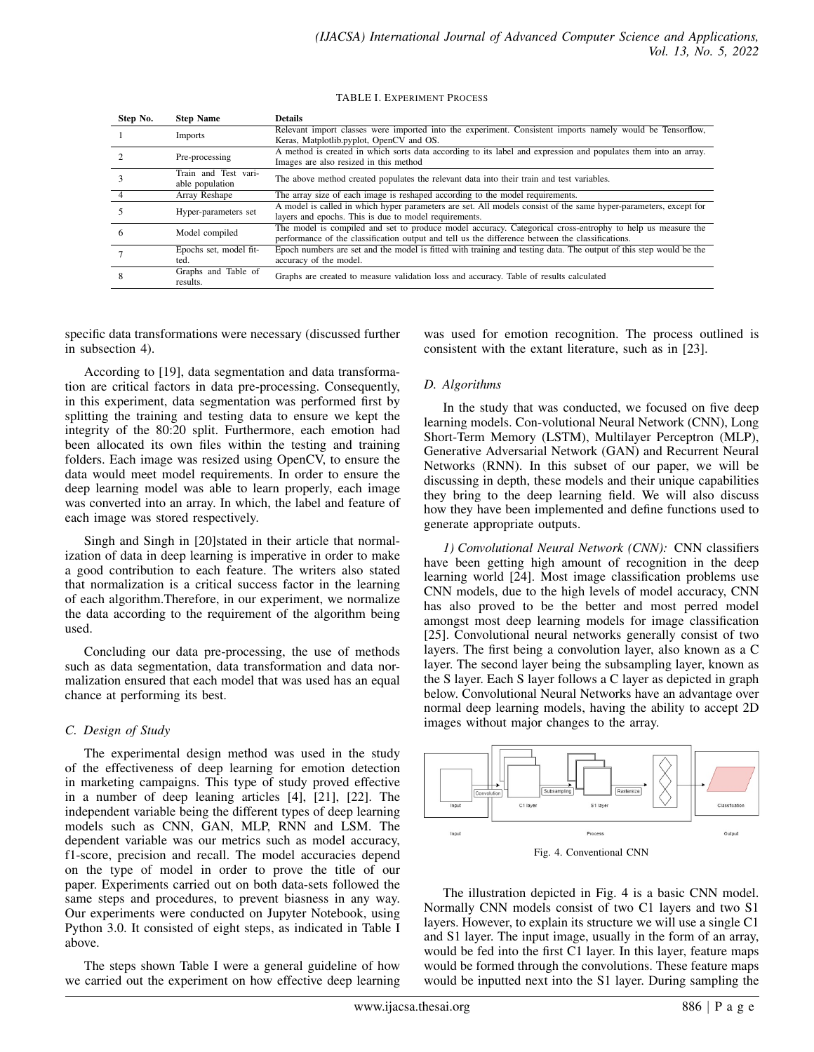TABLE I. EXPERIMENT PROCESS

| Step No. | <b>Step Name</b>                        | <b>Details</b>                                                                                                                                                                                                 |  |  |  |
|----------|-----------------------------------------|----------------------------------------------------------------------------------------------------------------------------------------------------------------------------------------------------------------|--|--|--|
|          | Imports                                 | Relevant import classes were imported into the experiment. Consistent imports namely would be Tensorflow,<br>Keras, Matplotlib.pyplot, OpenCV and OS.                                                          |  |  |  |
|          | Pre-processing                          | A method is created in which sorts data according to its label and expression and populates them into an array.<br>Images are also resized in this method                                                      |  |  |  |
|          | Train and Test vari-<br>able population | The above method created populates the relevant data into their train and test variables.                                                                                                                      |  |  |  |
|          | Array Reshape                           | The array size of each image is reshaped according to the model requirements.                                                                                                                                  |  |  |  |
|          | Hyper-parameters set                    | A model is called in which hyper parameters are set. All models consist of the same hyper-parameters, except for<br>layers and epochs. This is due to model requirements.                                      |  |  |  |
|          | Model compiled                          | The model is compiled and set to produce model accuracy. Categorical cross-entrophy to help us measure the<br>performance of the classification output and tell us the difference between the classifications. |  |  |  |
|          | Epochs set, model fit-<br>ted.          | Epoch numbers are set and the model is fitted with training and testing data. The output of this step would be the<br>accuracy of the model.                                                                   |  |  |  |
|          | Graphs and Table of<br>results.         | Graphs are created to measure validation loss and accuracy. Table of results calculated                                                                                                                        |  |  |  |

specific data transformations were necessary (discussed further in subsection 4).

According to [19], data segmentation and data transformation are critical factors in data pre-processing. Consequently, in this experiment, data segmentation was performed first by splitting the training and testing data to ensure we kept the integrity of the 80:20 split. Furthermore, each emotion had been allocated its own files within the testing and training folders. Each image was resized using OpenCV, to ensure the data would meet model requirements. In order to ensure the deep learning model was able to learn properly, each image was converted into an array. In which, the label and feature of each image was stored respectively.

Singh and Singh in [20]stated in their article that normalization of data in deep learning is imperative in order to make a good contribution to each feature. The writers also stated that normalization is a critical success factor in the learning of each algorithm.Therefore, in our experiment, we normalize the data according to the requirement of the algorithm being used.

Concluding our data pre-processing, the use of methods such as data segmentation, data transformation and data normalization ensured that each model that was used has an equal chance at performing its best.

# *C. Design of Study*

The experimental design method was used in the study of the effectiveness of deep learning for emotion detection in marketing campaigns. This type of study proved effective in a number of deep leaning articles [4], [21], [22]. The independent variable being the different types of deep learning models such as CNN, GAN, MLP, RNN and LSM. The dependent variable was our metrics such as model accuracy, f1-score, precision and recall. The model accuracies depend on the type of model in order to prove the title of our paper. Experiments carried out on both data-sets followed the same steps and procedures, to prevent biasness in any way. Our experiments were conducted on Jupyter Notebook, using Python 3.0. It consisted of eight steps, as indicated in Table I above.

The steps shown Table I were a general guideline of how we carried out the experiment on how effective deep learning was used for emotion recognition. The process outlined is consistent with the extant literature, such as in [23].

## *D. Algorithms*

In the study that was conducted, we focused on five deep learning models. Con-volutional Neural Network (CNN), Long Short-Term Memory (LSTM), Multilayer Perceptron (MLP), Generative Adversarial Network (GAN) and Recurrent Neural Networks (RNN). In this subset of our paper, we will be discussing in depth, these models and their unique capabilities they bring to the deep learning field. We will also discuss how they have been implemented and define functions used to generate appropriate outputs.

*1) Convolutional Neural Network (CNN):* CNN classifiers have been getting high amount of recognition in the deep learning world [24]. Most image classification problems use CNN models, due to the high levels of model accuracy, CNN has also proved to be the better and most perred model amongst most deep learning models for image classification [25]. Convolutional neural networks generally consist of two layers. The first being a convolution layer, also known as a C layer. The second layer being the subsampling layer, known as the S layer. Each S layer follows a C layer as depicted in graph below. Convolutional Neural Networks have an advantage over normal deep learning models, having the ability to accept 2D images without major changes to the array.



The illustration depicted in Fig. 4 is a basic CNN model. Normally CNN models consist of two C1 layers and two S1 layers. However, to explain its structure we will use a single C1 and S1 layer. The input image, usually in the form of an array, would be fed into the first C1 layer. In this layer, feature maps would be formed through the convolutions. These feature maps would be inputted next into the S1 layer. During sampling the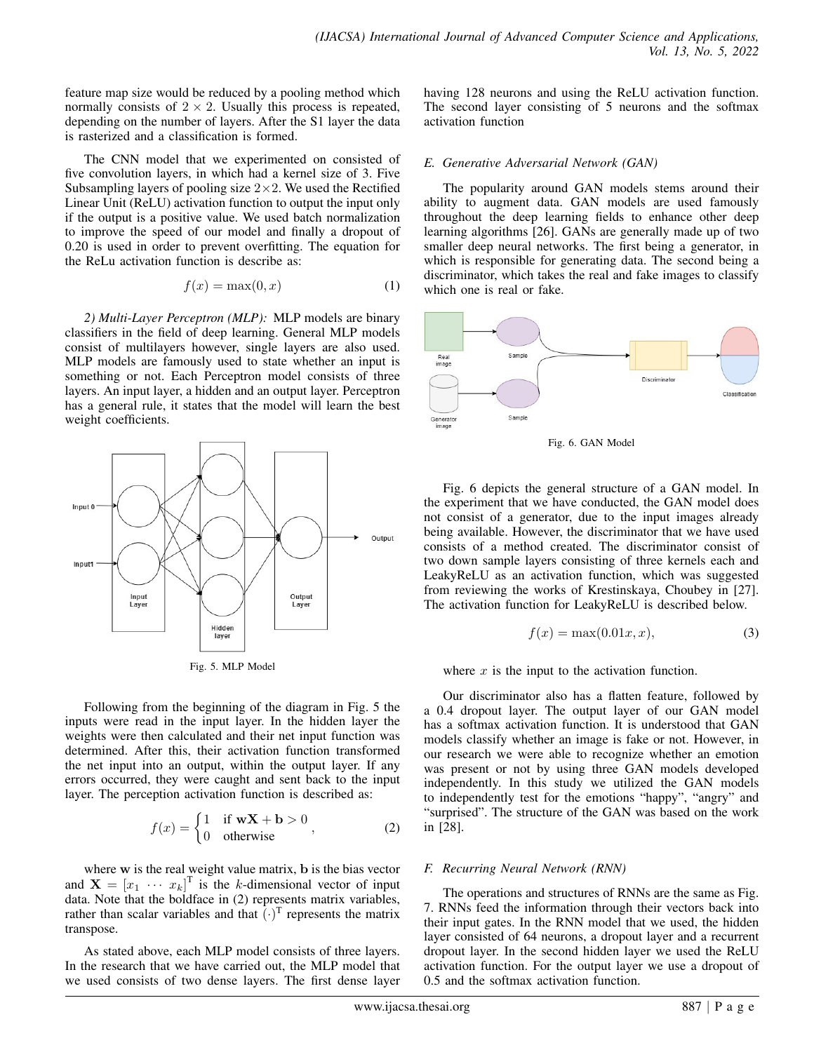feature map size would be reduced by a pooling method which normally consists of  $2 \times 2$ . Usually this process is repeated, depending on the number of layers. After the S1 layer the data is rasterized and a classification is formed.

The CNN model that we experimented on consisted of five convolution layers, in which had a kernel size of 3. Five Subsampling layers of pooling size  $2 \times 2$ . We used the Rectified Linear Unit (ReLU) activation function to output the input only if the output is a positive value. We used batch normalization to improve the speed of our model and finally a dropout of 0.20 is used in order to prevent overfitting. The equation for the ReLu activation function is describe as:

$$
f(x) = \max(0, x) \tag{1}
$$

*2) Multi-Layer Perceptron (MLP):* MLP models are binary classifiers in the field of deep learning. General MLP models consist of multilayers however, single layers are also used. MLP models are famously used to state whether an input is something or not. Each Perceptron model consists of three layers. An input layer, a hidden and an output layer. Perceptron has a general rule, it states that the model will learn the best weight coefficients.



Fig. 5. MLP Model

Following from the beginning of the diagram in Fig. 5 the inputs were read in the input layer. In the hidden layer the weights were then calculated and their net input function was determined. After this, their activation function transformed the net input into an output, within the output layer. If any errors occurred, they were caught and sent back to the input layer. The perception activation function is described as:

$$
f(x) = \begin{cases} 1 & \text{if } \mathbf{w} \mathbf{X} + \mathbf{b} > 0 \\ 0 & \text{otherwise} \end{cases}
$$
 (2)

where w is the real weight value matrix, **b** is the bias vector and  $\mathbf{X} = \begin{bmatrix} x_1 & \cdots & x_k \end{bmatrix}^\text{T}$  is the k-dimensional vector of input data. Note that the boldface in (2) represents matrix variables, rather than scalar variables and that  $\overline{(\cdot)}^T$  represents the matrix transpose.

As stated above, each MLP model consists of three layers. In the research that we have carried out, the MLP model that we used consists of two dense layers. The first dense layer

having 128 neurons and using the ReLU activation function. The second layer consisting of 5 neurons and the softmax activation function

# *E. Generative Adversarial Network (GAN)*

The popularity around GAN models stems around their ability to augment data. GAN models are used famously throughout the deep learning fields to enhance other deep learning algorithms [26]. GANs are generally made up of two smaller deep neural networks. The first being a generator, in which is responsible for generating data. The second being a discriminator, which takes the real and fake images to classify which one is real or fake.



Fig. 6. GAN Model

Fig. 6 depicts the general structure of a GAN model. In the experiment that we have conducted, the GAN model does not consist of a generator, due to the input images already being available. However, the discriminator that we have used consists of a method created. The discriminator consist of two down sample layers consisting of three kernels each and LeakyReLU as an activation function, which was suggested from reviewing the works of Krestinskaya, Choubey in [27]. The activation function for LeakyReLU is described below.

$$
f(x) = \max(0.01x, x),\tag{3}
$$

where  $x$  is the input to the activation function.

Our discriminator also has a flatten feature, followed by a 0.4 dropout layer. The output layer of our GAN model has a softmax activation function. It is understood that GAN models classify whether an image is fake or not. However, in our research we were able to recognize whether an emotion was present or not by using three GAN models developed independently. In this study we utilized the GAN models to independently test for the emotions "happy", "angry" and "surprised". The structure of the GAN was based on the work in [28].

# *F. Recurring Neural Network (RNN)*

The operations and structures of RNNs are the same as Fig. 7. RNNs feed the information through their vectors back into their input gates. In the RNN model that we used, the hidden layer consisted of 64 neurons, a dropout layer and a recurrent dropout layer. In the second hidden layer we used the ReLU activation function. For the output layer we use a dropout of 0.5 and the softmax activation function.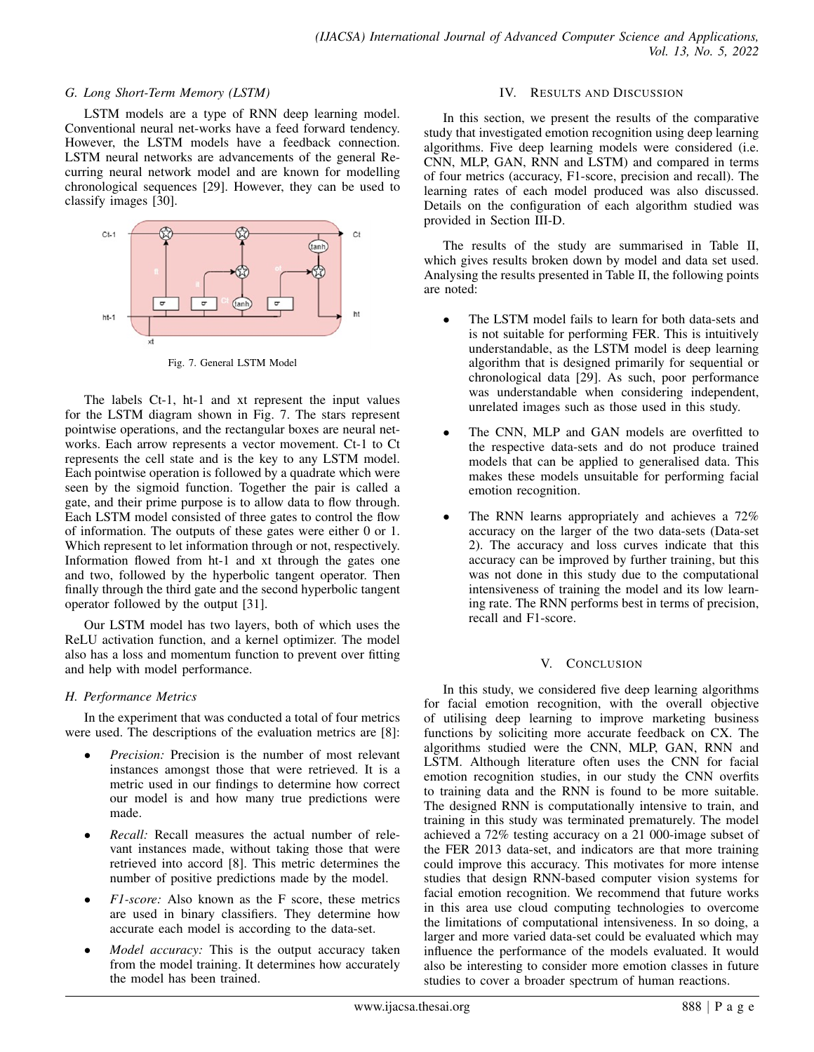## *G. Long Short-Term Memory (LSTM)*

LSTM models are a type of RNN deep learning model. Conventional neural net-works have a feed forward tendency. However, the LSTM models have a feedback connection. LSTM neural networks are advancements of the general Recurring neural network model and are known for modelling chronological sequences [29]. However, they can be used to classify images [30].



Fig. 7. General LSTM Model

The labels Ct-1, ht-1 and xt represent the input values for the LSTM diagram shown in Fig. 7. The stars represent pointwise operations, and the rectangular boxes are neural networks. Each arrow represents a vector movement. Ct-1 to Ct represents the cell state and is the key to any LSTM model. Each pointwise operation is followed by a quadrate which were seen by the sigmoid function. Together the pair is called a gate, and their prime purpose is to allow data to flow through. Each LSTM model consisted of three gates to control the flow of information. The outputs of these gates were either 0 or 1. Which represent to let information through or not, respectively. Information flowed from ht-1 and xt through the gates one and two, followed by the hyperbolic tangent operator. Then finally through the third gate and the second hyperbolic tangent operator followed by the output [31].

Our LSTM model has two layers, both of which uses the ReLU activation function, and a kernel optimizer. The model also has a loss and momentum function to prevent over fitting and help with model performance.

# *H. Performance Metrics*

In the experiment that was conducted a total of four metrics were used. The descriptions of the evaluation metrics are [8]:

- *Precision:* Precision is the number of most relevant instances amongst those that were retrieved. It is a metric used in our findings to determine how correct our model is and how many true predictions were made.
- *Recall:* Recall measures the actual number of relevant instances made, without taking those that were retrieved into accord [8]. This metric determines the number of positive predictions made by the model.
- *F1-score:* Also known as the F score, these metrics are used in binary classifiers. They determine how accurate each model is according to the data-set.
- *Model accuracy:* This is the output accuracy taken from the model training. It determines how accurately the model has been trained.

# IV. RESULTS AND DISCUSSION

In this section, we present the results of the comparative study that investigated emotion recognition using deep learning algorithms. Five deep learning models were considered (i.e. CNN, MLP, GAN, RNN and LSTM) and compared in terms of four metrics (accuracy, F1-score, precision and recall). The learning rates of each model produced was also discussed. Details on the configuration of each algorithm studied was provided in Section III-D.

The results of the study are summarised in Table II, which gives results broken down by model and data set used. Analysing the results presented in Table II, the following points are noted:

- The LSTM model fails to learn for both data-sets and is not suitable for performing FER. This is intuitively understandable, as the LSTM model is deep learning algorithm that is designed primarily for sequential or chronological data [29]. As such, poor performance was understandable when considering independent, unrelated images such as those used in this study.
- The CNN, MLP and GAN models are overfitted to the respective data-sets and do not produce trained models that can be applied to generalised data. This makes these models unsuitable for performing facial emotion recognition.
- The RNN learns appropriately and achieves a 72% accuracy on the larger of the two data-sets (Data-set 2). The accuracy and loss curves indicate that this accuracy can be improved by further training, but this was not done in this study due to the computational intensiveness of training the model and its low learning rate. The RNN performs best in terms of precision, recall and F1-score.

## V. CONCLUSION

In this study, we considered five deep learning algorithms for facial emotion recognition, with the overall objective of utilising deep learning to improve marketing business functions by soliciting more accurate feedback on CX. The algorithms studied were the CNN, MLP, GAN, RNN and LSTM. Although literature often uses the CNN for facial emotion recognition studies, in our study the CNN overfits to training data and the RNN is found to be more suitable. The designed RNN is computationally intensive to train, and training in this study was terminated prematurely. The model achieved a 72% testing accuracy on a 21 000-image subset of the FER 2013 data-set, and indicators are that more training could improve this accuracy. This motivates for more intense studies that design RNN-based computer vision systems for facial emotion recognition. We recommend that future works in this area use cloud computing technologies to overcome the limitations of computational intensiveness. In so doing, a larger and more varied data-set could be evaluated which may influence the performance of the models evaluated. It would also be interesting to consider more emotion classes in future studies to cover a broader spectrum of human reactions.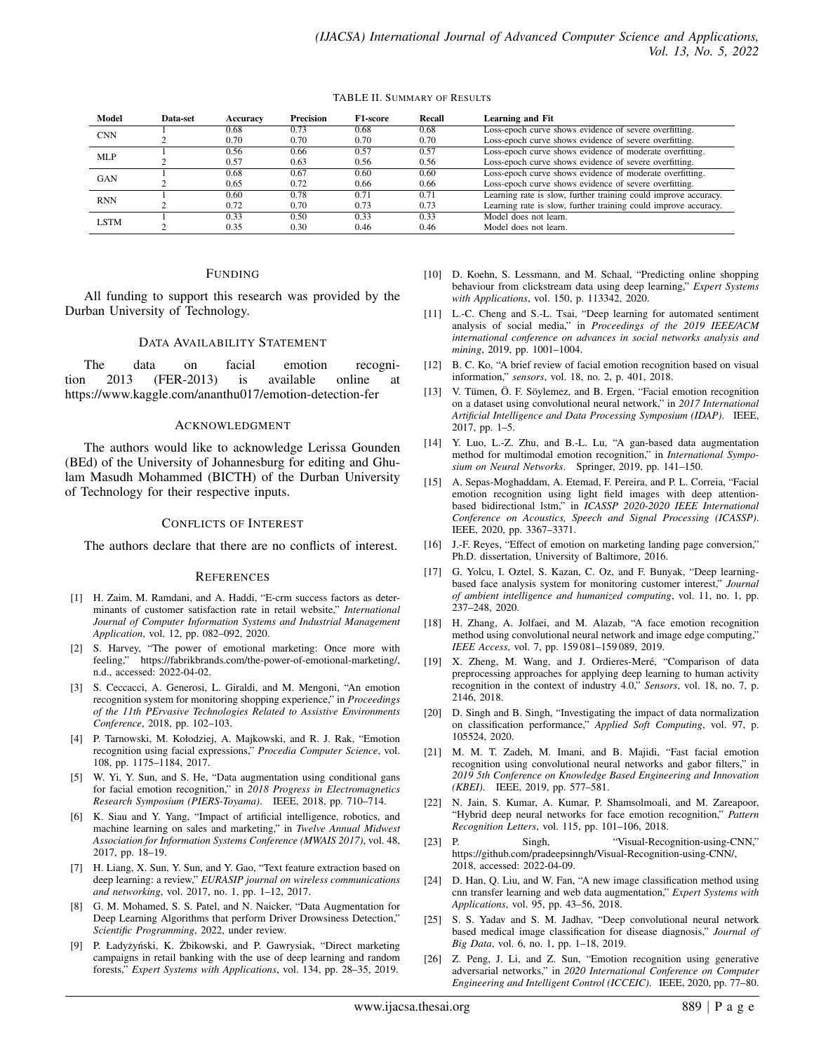#### TABLE II. SUMMARY OF RESULTS

| Model       | <b>Data-set</b> | Accuracv | <b>Precision</b> | F1-score | Recall | <b>Learning and Fit</b>                                         |
|-------------|-----------------|----------|------------------|----------|--------|-----------------------------------------------------------------|
| <b>CNN</b>  |                 | 0.68     | 0.73             | 0.68     | 0.68   | Loss-epoch curve shows evidence of severe overfitting.          |
|             |                 | 0.70     | 0.70             | 0.70     | 0.70   | Loss-epoch curve shows evidence of severe overfitting.          |
| MLP         |                 | 0.56     | 0.66             | 0.57     | 0.57   | Loss-epoch curve shows evidence of moderate overfitting.        |
|             |                 | 0.57     | 0.63             | 0.56     | 0.56   | Loss-epoch curve shows evidence of severe overfitting.          |
| <b>GAN</b>  |                 | 0.68     | 0.67             | 0.60     | 0.60   | Loss-epoch curve shows evidence of moderate overfitting.        |
|             |                 | 0.65     | 0.72             | 0.66     | 0.66   | Loss-epoch curve shows evidence of severe overfitting.          |
| <b>RNN</b>  |                 | 0.60     | 0.78             | 0.71     | 0.71   | Learning rate is slow, further training could improve accuracy. |
|             |                 | 0.72     | 0.70             | 0.73     | 0.73   | Learning rate is slow, further training could improve accuracy. |
| <b>LSTM</b> |                 | 0.33     | 0.50             | 0.33     | 0.33   | Model does not learn.                                           |
|             |                 | 0.35     | 0.30             | 0.46     | 0.46   | Model does not learn.                                           |

## FUNDING

All funding to support this research was provided by the Durban University of Technology.

## DATA AVAILABILITY STATEMENT

The data on facial emotion recognition 2013 (FER-2013) is available online at https://www.kaggle.com/ananthu017/emotion-detection-fer

#### ACKNOWLEDGMENT

The authors would like to acknowledge Lerissa Gounden (BEd) of the University of Johannesburg for editing and Ghulam Masudh Mohammed (BICTH) of the Durban University of Technology for their respective inputs.

#### CONFLICTS OF INTEREST

The authors declare that there are no conflicts of interest.

#### **REFERENCES**

- [1] H. Zaim, M. Ramdani, and A. Haddi, "E-crm success factors as determinants of customer satisfaction rate in retail website," *International Journal of Computer Information Systems and Industrial Management Application*, vol. 12, pp. 082–092, 2020.
- [2] S. Harvey, "The power of emotional marketing: Once more with feeling," https://fabrikbrands.com/the-power-of-emotional-marketing/, n.d., accessed: 2022-04-02.
- [3] S. Ceccacci, A. Generosi, L. Giraldi, and M. Mengoni, "An emotion recognition system for monitoring shopping experience," in *Proceedings of the 11th PErvasive Technologies Related to Assistive Environments Conference*, 2018, pp. 102–103.
- [4] P. Tarnowski, M. Kołodziej, A. Majkowski, and R. J. Rak, "Emotion recognition using facial expressions," *Procedia Computer Science*, vol. 108, pp. 1175–1184, 2017.
- [5] W. Yi, Y. Sun, and S. He, "Data augmentation using conditional gans for facial emotion recognition," in *2018 Progress in Electromagnetics Research Symposium (PIERS-Toyama)*. IEEE, 2018, pp. 710–714.
- [6] K. Siau and Y. Yang, "Impact of artificial intelligence, robotics, and machine learning on sales and marketing," in *Twelve Annual Midwest Association for Information Systems Conference (MWAIS 2017)*, vol. 48, 2017, pp. 18–19.
- [7] H. Liang, X. Sun, Y. Sun, and Y. Gao, "Text feature extraction based on deep learning: a review," *EURASIP journal on wireless communications and networking*, vol. 2017, no. 1, pp. 1–12, 2017.
- [8] G. M. Mohamed, S. S. Patel, and N. Naicker, "Data Augmentation for Deep Learning Algorithms that perform Driver Drowsiness Detection," *Scientific Programming*, 2022, under review.
- [9] P. Ładyżyński, K. Żbikowski, and P. Gawrysiak, "Direct marketing campaigns in retail banking with the use of deep learning and random forests," *Expert Systems with Applications*, vol. 134, pp. 28–35, 2019.
- [10] D. Koehn, S. Lessmann, and M. Schaal, "Predicting online shopping behaviour from clickstream data using deep learning," *Expert Systems with Applications*, vol. 150, p. 113342, 2020.
- [11] L.-C. Cheng and S.-L. Tsai, "Deep learning for automated sentiment analysis of social media," in *Proceedings of the 2019 IEEE/ACM international conference on advances in social networks analysis and mining*, 2019, pp. 1001–1004.
- [12] B. C. Ko, "A brief review of facial emotion recognition based on visual information," *sensors*, vol. 18, no. 2, p. 401, 2018.
- [13] V. Tümen, Ö. F. Söylemez, and B. Ergen, "Facial emotion recognition on a dataset using convolutional neural network," in *2017 International Artificial Intelligence and Data Processing Symposium (IDAP)*. IEEE, 2017, pp. 1–5.
- [14] Y. Luo, L.-Z. Zhu, and B.-L. Lu, "A gan-based data augmentation method for multimodal emotion recognition," in *International Symposium on Neural Networks*. Springer, 2019, pp. 141–150.
- [15] A. Sepas-Moghaddam, A. Etemad, F. Pereira, and P. L. Correia, "Facial emotion recognition using light field images with deep attentionbased bidirectional lstm," in *ICASSP 2020-2020 IEEE International Conference on Acoustics, Speech and Signal Processing (ICASSP)*. IEEE, 2020, pp. 3367–3371.
- [16] J.-F. Reyes, "Effect of emotion on marketing landing page conversion," Ph.D. dissertation, University of Baltimore, 2016.
- [17] G. Yolcu, I. Oztel, S. Kazan, C. Oz, and F. Bunyak, "Deep learningbased face analysis system for monitoring customer interest," *Journal of ambient intelligence and humanized computing*, vol. 11, no. 1, pp. 237–248, 2020.
- [18] H. Zhang, A. Jolfaei, and M. Alazab, "A face emotion recognition method using convolutional neural network and image edge computing," *IEEE Access*, vol. 7, pp. 159 081–159 089, 2019.
- [19] X. Zheng, M. Wang, and J. Ordieres-Meré, "Comparison of data preprocessing approaches for applying deep learning to human activity recognition in the context of industry 4.0," *Sensors*, vol. 18, no. 7, p. 2146, 2018.
- [20] D. Singh and B. Singh, "Investigating the impact of data normalization on classification performance," *Applied Soft Computing*, vol. 97, p. 105524, 2020.
- [21] M. M. T. Zadeh, M. Imani, and B. Majidi, "Fast facial emotion recognition using convolutional neural networks and gabor filters," in *2019 5th Conference on Knowledge Based Engineering and Innovation (KBEI)*. IEEE, 2019, pp. 577–581.
- [22] N. Jain, S. Kumar, A. Kumar, P. Shamsolmoali, and M. Zareapoor, "Hybrid deep neural networks for face emotion recognition," *Pattern Recognition Letters*, vol. 115, pp. 101–106, 2018.
- [23] P. Singh, "Visual-Recognition-using-CNN," https://github.com/pradeepsinngh/Visual-Recognition-using-CNN/, 2018, accessed: 2022-04-09.
- [24] D. Han, Q. Liu, and W. Fan, "A new image classification method using cnn transfer learning and web data augmentation," *Expert Systems with Applications*, vol. 95, pp. 43–56, 2018.
- [25] S. S. Yadav and S. M. Jadhav, "Deep convolutional neural network based medical image classification for disease diagnosis," *Journal of Big Data*, vol. 6, no. 1, pp. 1–18, 2019.
- [26] Z. Peng, J. Li, and Z. Sun, "Emotion recognition using generative adversarial networks," in *2020 International Conference on Computer Engineering and Intelligent Control (ICCEIC)*. IEEE, 2020, pp. 77–80.